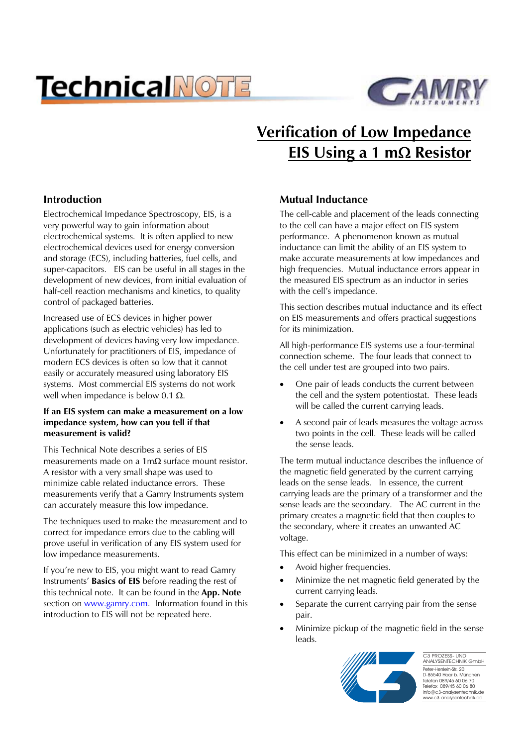# **TechnicalNOTE**



# **Verification of Low Impedance EIS Using a 1 mΩ Resistor**

# **Introduction**

Electrochemical Impedance Spectroscopy, EIS, is a very powerful way to gain information about electrochemical systems. It is often applied to new electrochemical devices used for energy conversion and storage (ECS), including batteries, fuel cells, and super-capacitors. EIS can be useful in all stages in the development of new devices, from initial evaluation of half-cell reaction mechanisms and kinetics, to quality control of packaged batteries.

Increased use of ECS devices in higher power applications (such as electric vehicles) has led to development of devices having very low impedance. Unfortunately for practitioners of EIS, impedance of modern ECS devices is often so low that it cannot easily or accurately measured using laboratory EIS systems. Most commercial EIS systems do not work well when impedance is below 0.1  $\Omega$ .

#### **If an EIS system can make a measurement on a low impedance system, how can you tell if that measurement is valid?**

This Technical Note describes a series of EIS measurements made on a  $1 \text{m}\Omega$  surface mount resistor. A resistor with a very small shape was used to minimize cable related inductance errors. These measurements verify that a Gamry Instruments system can accurately measure this low impedance.

The techniques used to make the measurement and to correct for impedance errors due to the cabling will prove useful in verification of any EIS system used for low impedance measurements.

If you're new to EIS, you might want to read Gamry Instruments' **Basics of EIS** before reading the rest of this technical note. It can be found in the **App. Note** section on www.gamry.com. Information found in this introduction to EIS will not be repeated here.

## **Mutual Inductance**

The cell-cable and placement of the leads connecting to the cell can have a major effect on EIS system performance. A phenomenon known as mutual inductance can limit the ability of an EIS system to make accurate measurements at low impedances and high frequencies. Mutual inductance errors appear in the measured EIS spectrum as an inductor in series with the cell's impedance.

This section describes mutual inductance and its effect on EIS measurements and offers practical suggestions for its minimization.

All high-performance EIS systems use a four-terminal connection scheme. The four leads that connect to the cell under test are grouped into two pairs.

- One pair of leads conducts the current between the cell and the system potentiostat. These leads will be called the current carrying leads.
- x A second pair of leads measures the voltage across two points in the cell. These leads will be called the sense leads.

The term mutual inductance describes the influence of the magnetic field generated by the current carrying leads on the sense leads. In essence, the current carrying leads are the primary of a transformer and the sense leads are the secondary. The AC current in the primary creates a magnetic field that then couples to the secondary, where it creates an unwanted AC voltage.

This effect can be minimized in a number of ways:

- Avoid higher frequencies.
- Minimize the net magnetic field generated by the current carrying leads.
- Separate the current carrying pair from the sense pair.
- Minimize pickup of the magnetic field in the sense leads.



Peter-Henlein-Str. 20 D-85540 Haar b. München Telefon 089/45 60 06 70 Telefax 089/45 60 06 80 info@c3-analysentechnik.de www.c3-analysentechnik.de C3 PROZESS- UND ANALYSENTECHNIK GmbH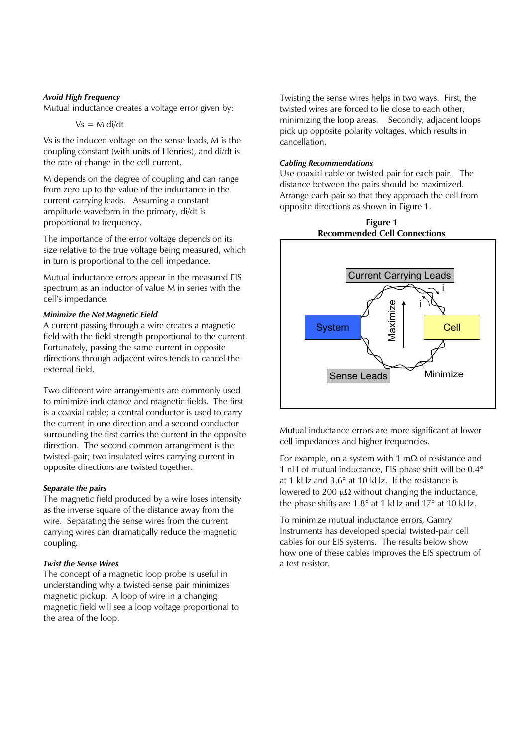#### *Avoid High Frequency*

Mutual inductance creates a voltage error given by:

$$
Vs = M \, \text{di/dt}
$$

Vs is the induced voltage on the sense leads, M is the coupling constant (with units of Henries), and di/dt is the rate of change in the cell current.

M depends on the degree of coupling and can range from zero up to the value of the inductance in the current carrying leads. Assuming a constant amplitude waveform in the primary, di/dt is proportional to frequency.

The importance of the error voltage depends on its size relative to the true voltage being measured, which in turn is proportional to the cell impedance.

Mutual inductance errors appear in the measured EIS spectrum as an inductor of value M in series with the cell's impedance.

#### *Minimize the Net Magnetic Field*

A current passing through a wire creates a magnetic field with the field strength proportional to the current. Fortunately, passing the same current in opposite directions through adjacent wires tends to cancel the external field.

Two different wire arrangements are commonly used to minimize inductance and magnetic fields. The first is a coaxial cable; a central conductor is used to carry the current in one direction and a second conductor surrounding the first carries the current in the opposite direction. The second common arrangement is the twisted-pair; two insulated wires carrying current in opposite directions are twisted together.

#### *Separate the pairs*

The magnetic field produced by a wire loses intensity as the inverse square of the distance away from the wire. Separating the sense wires from the current carrying wires can dramatically reduce the magnetic coupling.

#### *Twist the Sense Wires*

The concept of a magnetic loop probe is useful in understanding why a twisted sense pair minimizes magnetic pickup. A loop of wire in a changing magnetic field will see a loop voltage proportional to the area of the loop.

Twisting the sense wires helps in two ways. First, the twisted wires are forced to lie close to each other, minimizing the loop areas. Secondly, adjacent loops pick up opposite polarity voltages, which results in cancellation.

#### *Cabling Recommendations*

Use coaxial cable or twisted pair for each pair. The distance between the pairs should be maximized. Arrange each pair so that they approach the cell from opposite directions as shown in Figure 1.



Mutual inductance errors are more significant at lower cell impedances and higher frequencies.

For example, on a system with 1 m $\Omega$  of resistance and 1 nH of mutual inductance, EIS phase shift will be  $0.4^{\circ}$ at 1 kHz and  $3.6^\circ$  at 10 kHz. If the resistance is lowered to 200  $\mu\Omega$  without changing the inductance, the phase shifts are  $1.8^{\circ}$  at 1 kHz and  $17^{\circ}$  at 10 kHz.

To minimize mutual inductance errors, Gamry Instruments has developed special twisted-pair cell cables for our EIS systems. The results below show how one of these cables improves the EIS spectrum of a test resistor.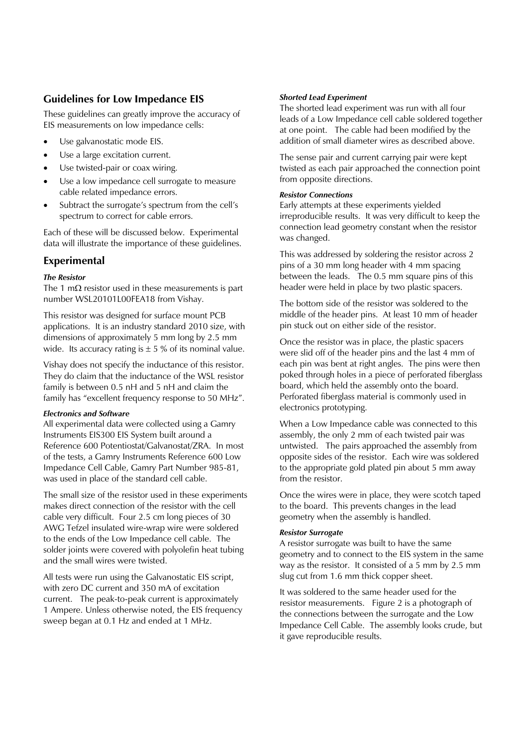# **Guidelines for Low Impedance EIS**

These guidelines can greatly improve the accuracy of EIS measurements on low impedance cells:

- Use galvanostatic mode EIS.
- Use a large excitation current.
- Use twisted-pair or coax wiring.
- Use a low impedance cell surrogate to measure cable related impedance errors.
- Subtract the surrogate's spectrum from the cell's spectrum to correct for cable errors.

Each of these will be discussed below. Experimental data will illustrate the importance of these guidelines.

#### **Experimental**

#### *The Resistor*

The 1 m $\Omega$  resistor used in these measurements is part number WSL20101L00FEA18 from Vishay.

This resistor was designed for surface mount PCB applications. It is an industry standard 2010 size, with dimensions of approximately 5 mm long by 2.5 mm wide. Its accuracy rating is  $\pm$  5 % of its nominal value.

Vishay does not specify the inductance of this resistor. They do claim that the inductance of the WSL resistor family is between 0.5 nH and 5 nH and claim the family has "excellent frequency response to 50 MHz".

#### *Electronics and Software*

All experimental data were collected using a Gamry Instruments EIS300 EIS System built around a Reference 600 Potentiostat/Galvanostat/ZRA. In most of the tests, a Gamry Instruments Reference 600 Low Impedance Cell Cable, Gamry Part Number 985-81, was used in place of the standard cell cable.

The small size of the resistor used in these experiments makes direct connection of the resistor with the cell cable very difficult. Four 2.5 cm long pieces of 30 AWG Tefzel insulated wire-wrap wire were soldered to the ends of the Low Impedance cell cable. The solder joints were covered with polyolefin heat tubing and the small wires were twisted.

All tests were run using the Galvanostatic EIS script, with zero DC current and 350 mA of excitation current. The peak-to-peak current is approximately 1 Ampere. Unless otherwise noted, the EIS frequency sweep began at 0.1 Hz and ended at 1 MHz.

#### *Shorted Lead Experiment*

The shorted lead experiment was run with all four leads of a Low Impedance cell cable soldered together at one point. The cable had been modified by the addition of small diameter wires as described above.

The sense pair and current carrying pair were kept twisted as each pair approached the connection point from opposite directions.

#### *Resistor Connections*

Early attempts at these experiments yielded irreproducible results. It was very difficult to keep the connection lead geometry constant when the resistor was changed.

This was addressed by soldering the resistor across 2 pins of a 30 mm long header with 4 mm spacing between the leads. The 0.5 mm square pins of this header were held in place by two plastic spacers.

The bottom side of the resistor was soldered to the middle of the header pins. At least 10 mm of header pin stuck out on either side of the resistor.

Once the resistor was in place, the plastic spacers were slid off of the header pins and the last 4 mm of each pin was bent at right angles. The pins were then poked through holes in a piece of perforated fiberglass board, which held the assembly onto the board. Perforated fiberglass material is commonly used in electronics prototyping.

When a Low Impedance cable was connected to this assembly, the only 2 mm of each twisted pair was untwisted. The pairs approached the assembly from opposite sides of the resistor. Each wire was soldered to the appropriate gold plated pin about 5 mm away from the resistor.

Once the wires were in place, they were scotch taped to the board. This prevents changes in the lead geometry when the assembly is handled.

#### *Resistor Surrogate*

A resistor surrogate was built to have the same geometry and to connect to the EIS system in the same way as the resistor. It consisted of a 5 mm by 2.5 mm slug cut from 1.6 mm thick copper sheet.

It was soldered to the same header used for the resistor measurements. Figure 2 is a photograph of the connections between the surrogate and the Low Impedance Cell Cable. The assembly looks crude, but it gave reproducible results.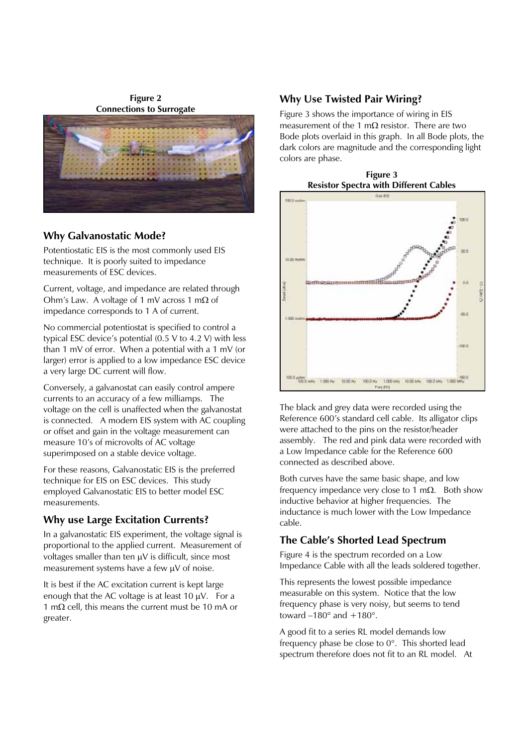**Figure 2 Connections to Surrogate** 



### **Why Galvanostatic Mode?**

Potentiostatic EIS is the most commonly used EIS technique. It is poorly suited to impedance measurements of ESC devices.

Current, voltage, and impedance are related through Ohm's Law. A voltage of 1 mV across 1 m $\Omega$  of impedance corresponds to 1 A of current.

No commercial potentiostat is specified to control a typical ESC device's potential (0.5 V to 4.2 V) with less than 1 mV of error. When a potential with a 1 mV (or larger) error is applied to a low impedance ESC device a very large DC current will flow.

Conversely, a galvanostat can easily control ampere currents to an accuracy of a few milliamps. The voltage on the cell is unaffected when the galvanostat is connected. A modern EIS system with AC coupling or offset and gain in the voltage measurement can measure 10's of microvolts of AC voltage superimposed on a stable device voltage.

For these reasons, Galvanostatic EIS is the preferred technique for EIS on ESC devices. This study employed Galvanostatic EIS to better model ESC measurements.

# **Why use Large Excitation Currents?**

In a galvanostatic EIS experiment, the voltage signal is proportional to the applied current. Measurement of voltages smaller than ten  $\mu$ V is difficult, since most measurement systems have a few  $\mu$ V of noise.

It is best if the AC excitation current is kept large enough that the AC voltage is at least  $10 \mu V$ . For a 1 m $\Omega$  cell, this means the current must be 10 mA or greater.

# **Why Use Twisted Pair Wiring?**

Figure 3 shows the importance of wiring in EIS measurement of the 1 m $\Omega$  resistor. There are two Bode plots overlaid in this graph. In all Bode plots, the dark colors are magnitude and the corresponding light colors are phase.





The black and grey data were recorded using the Reference 600's standard cell cable. Its alligator clips were attached to the pins on the resistor/header assembly. The red and pink data were recorded with a Low Impedance cable for the Reference 600 connected as described above.

Both curves have the same basic shape, and low frequency impedance very close to 1 m $\Omega$ . Both show inductive behavior at higher frequencies. The inductance is much lower with the Low Impedance cable.

# **The Cable's Shorted Lead Spectrum**

Figure 4 is the spectrum recorded on a Low Impedance Cable with all the leads soldered together.

This represents the lowest possible impedance measurable on this system. Notice that the low frequency phase is very noisy, but seems to tend toward  $-180^\circ$  and  $+180^\circ$ .

A good fit to a series RL model demands low frequency phase be close to  $0^\circ$ . This shorted lead spectrum therefore does not fit to an RL model. At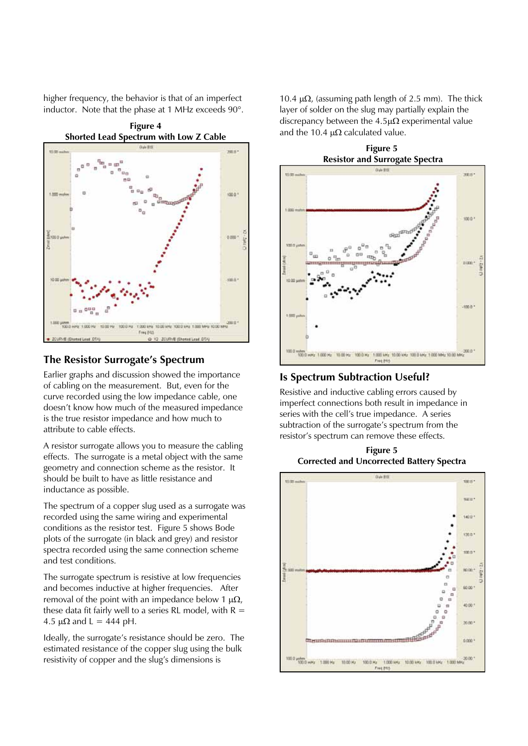higher frequency, the behavior is that of an imperfect inductor. Note that the phase at 1 MHz exceeds  $90^\circ$ .



#### **The Resistor Surrogate's Spectrum**

Earlier graphs and discussion showed the importance of cabling on the measurement. But, even for the curve recorded using the low impedance cable, one doesn't know how much of the measured impedance is the true resistor impedance and how much to attribute to cable effects.

A resistor surrogate allows you to measure the cabling effects. The surrogate is a metal object with the same geometry and connection scheme as the resistor. It should be built to have as little resistance and inductance as possible.

The spectrum of a copper slug used as a surrogate was recorded using the same wiring and experimental conditions as the resistor test. Figure 5 shows Bode plots of the surrogate (in black and grey) and resistor spectra recorded using the same connection scheme and test conditions.

The surrogate spectrum is resistive at low frequencies and becomes inductive at higher frequencies. After removal of the point with an impedance below 1  $\mu\Omega$ , these data fit fairly well to a series RL model, with  $R =$ 4.5  $\mu\Omega$  and L = 444 pH.

Ideally, the surrogate's resistance should be zero. The estimated resistance of the copper slug using the bulk resistivity of copper and the slug's dimensions is

10.4  $\mu\Omega$ , (assuming path length of 2.5 mm). The thick layer of solder on the slug may partially explain the discrepancy between the  $4.5\mu\Omega$  experimental value and the 10.4  $\mu\Omega$  calculated value.



# **Is Spectrum Subtraction Useful?**

Resistive and inductive cabling errors caused by imperfect connections both result in impedance in series with the cell's true impedance. A series subtraction of the surrogate's spectrum from the resistor's spectrum can remove these effects.

**Figure 5 Corrected and Uncorrected Battery Spectra**